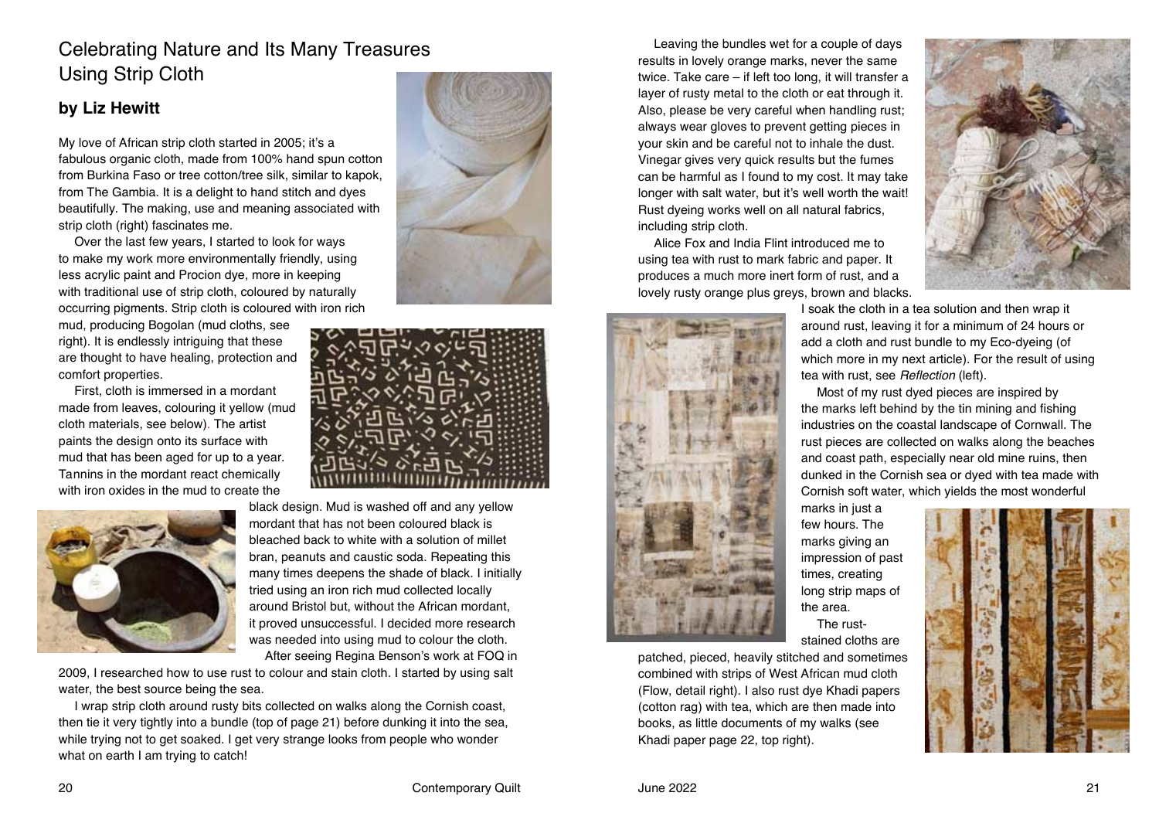# Celebrating Nature and Its Many Treasures Using Strip Cloth

### **by Liz Hewitt**

My love of African strip cloth started in 2005; it's a fabulous organic cloth, made from 100% hand spun cotton from Burkina Faso or tree cotton/tree silk, similar to kapok, from The Gambia. It is a delight to hand stitch and dyes beautifully. The making, use and meaning associated with strip cloth (right) fascinates me.

Over the last few years, I started to look for ways to make my work more environmentally friendly, using less acrylic paint and Procion dye, more in keeping with traditional use of strip cloth, coloured by naturally occurring pigments. Strip cloth is coloured with iron rich

mud, producing Bogolan (mud cloths, see right). It is endlessly intriguing that these are thought to have healing, protection and comfort properties.

First, cloth is immersed in a mordant made from leaves, colouring it yellow (mud cloth materials, see below). The artist paints the design onto its surface with mud that has been aged for up to a year. Tannins in the mordant react chemically with iron oxides in the mud to create the



black design. Mud is washed off and any yellow mordant that has not been coloured black is bleached back to white with a solution of millet bran, peanuts and caustic soda. Repeating this many times deepens the shade of black. I initially tried using an iron rich mud collected locally around Bristol but, without the African mordant, it proved unsuccessful. I decided more research was needed into using mud to colour the cloth.

2009, I researched how to use rust to colour and stain cloth. I started by using salt water, the best source being the sea.

I wrap strip cloth around rusty bits collected on walks along the Cornish coast, then tie it very tightly into a bundle (top of page 21) before dunking it into the sea, while trying not to get soaked. I get very strange looks from people who wonder what on earth I am trying to catch!





After seeing Regina Benson's work at FOQ in

Leaving the bundles wet for a couple of days results in lovely orange marks, never the same twice. Take care – if left too long, it will transfer a layer of rusty metal to the cloth or eat through it. Also, please be very careful when handling rust; always wear gloves to prevent getting pieces in your skin and be careful not to inhale the dust. Vinegar gives very quick results but the fumes can be harmful as I found to my cost. It may take longer with salt water, but it's well worth the wait! Rust dyeing works well on all natural fabrics, including strip cloth.

Alice Fox and India Flint introduced me to using tea with rust to mark fabric and paper. It produces a much more inert form of rust, and a lovely rusty orange plus greys, brown and blacks.





I soak the cloth in a tea solution and then wrap it around rust, leaving it for a minimum of 24 hours or add a cloth and rust bundle to my Eco-dyeing (of which more in my next article). For the result of using tea with rust, see Reflection (left).

Most of my rust dyed pieces are inspired by the marks left behind by the tin mining and fishing industries on the coastal landscape of Cornwall. The rust pieces are collected on walks along the beaches and coast path, especially near old mine ruins, then dunked in the Cornish sea or dyed with tea made with Cornish soft water, which yields the most wonderful

marks in just a few hours. The marks giving an impression of past times, creating long strip maps of the area. The ruststained cloths are

patched, pieced, heavily stitched and sometimes combined with strips of West African mud cloth (Flow, detail right). I also rust dye Khadi papers (cotton rag) with tea, which are then made into books, as little documents of my walks (see Khadi paper page 22, top right).